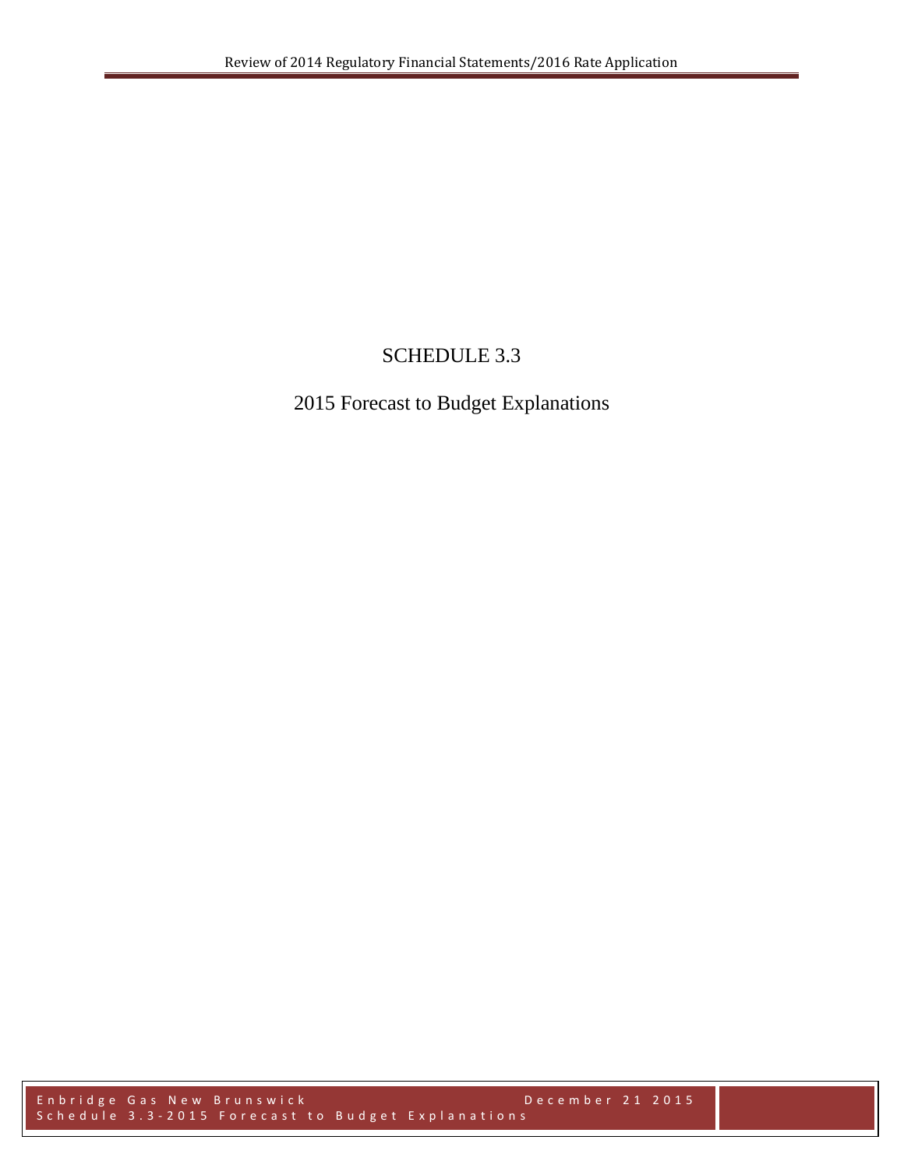# SCHEDULE 3.3

# 2015 Forecast to Budget Explanations

Enbridge Gas New Brunswick December 21 2015 Schedule 3.3 - 2015 Forecast to Budget Explanations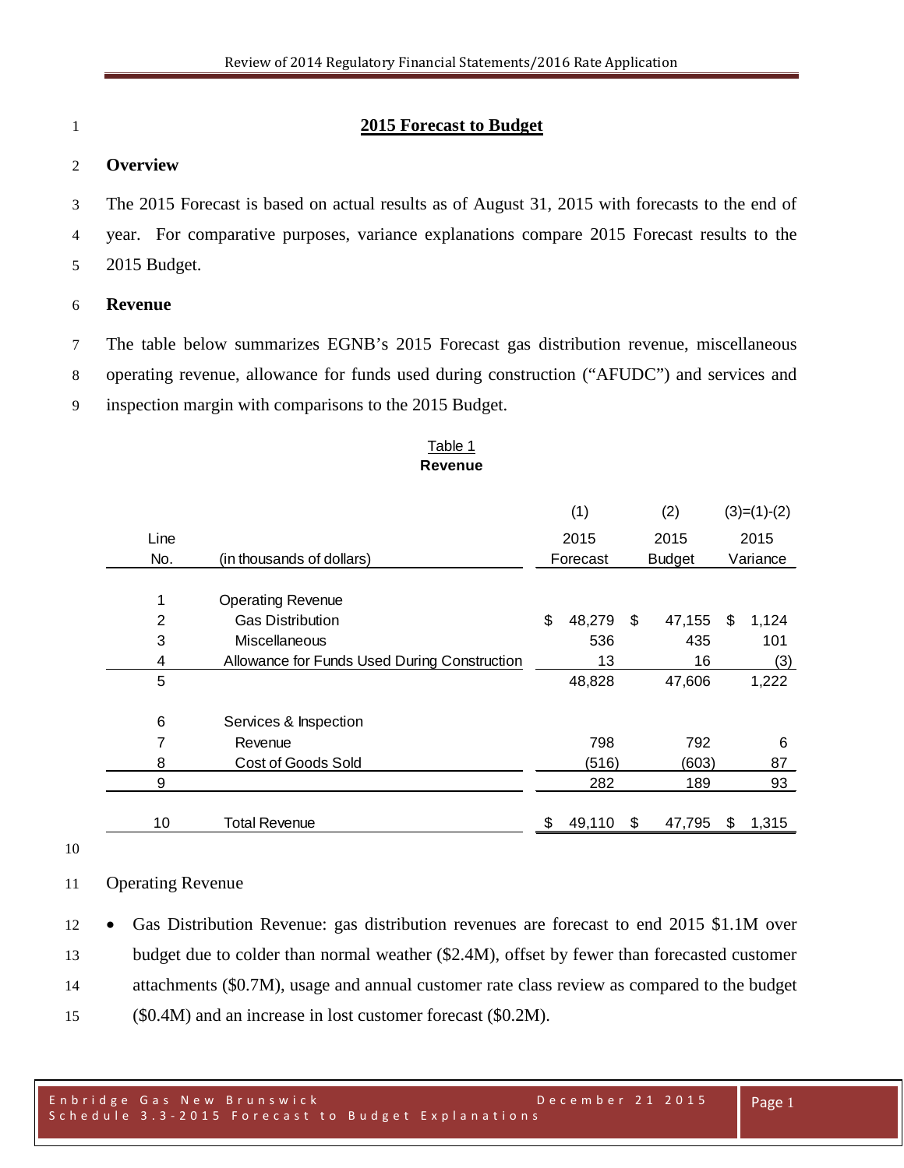### **2015 Forecast to Budget**

### **Overview**

 The 2015 Forecast is based on actual results as of August 31, 2015 with forecasts to the end of year. For comparative purposes, variance explanations compare 2015 Forecast results to the 2015 Budget.

### **Revenue**

 The table below summarizes EGNB's 2015 Forecast gas distribution revenue, miscellaneous operating revenue, allowance for funds used during construction ("AFUDC") and services and inspection margin with comparisons to the 2015 Budget.

#### Table 1 **Revenue**

|       |                                              | (1) |          | (2)           |        | $(3)=(1)-(2)$ |       |
|-------|----------------------------------------------|-----|----------|---------------|--------|---------------|-------|
| Line  |                                              |     | 2015     | 2015          |        |               | 2015  |
| No.   | (in thousands of dollars)                    |     | Forecast | <b>Budget</b> |        | Variance      |       |
| 1     | <b>Operating Revenue</b>                     |     |          |               |        |               |       |
| 2     | <b>Gas Distribution</b>                      | \$  | 48,279   | \$.           | 47,155 | \$.           | 1,124 |
| 3     | Miscellaneous                                | 536 |          |               | 435    | 101           |       |
| 4     | Allowance for Funds Used During Construction | 13  |          |               | 16     |               | (3)   |
| 5     |                                              |     | 48,828   |               | 47,606 |               | 1,222 |
|       |                                              |     |          |               |        |               |       |
| $\,6$ | Services & Inspection                        |     |          |               |        |               |       |
| 7     | Revenue                                      |     | 798      |               | 792    |               | 6     |
| 8     | Cost of Goods Sold                           |     | (516)    |               | (603)  |               | 87    |
| 9     |                                              |     | 282      |               | 189    |               | 93    |
|       |                                              |     |          |               |        |               |       |
| 10    | <b>Total Revenue</b>                         | \$  | 49,110   | S             | 47,795 | S             | 1,315 |

#### Operating Revenue

 • Gas Distribution Revenue: gas distribution revenues are forecast to end 2015 \$1.1M over budget due to colder than normal weather (\$2.4M), offset by fewer than forecasted customer attachments (\$0.7M), usage and annual customer rate class review as compared to the budget (\$0.4M) and an increase in lost customer forecast (\$0.2M).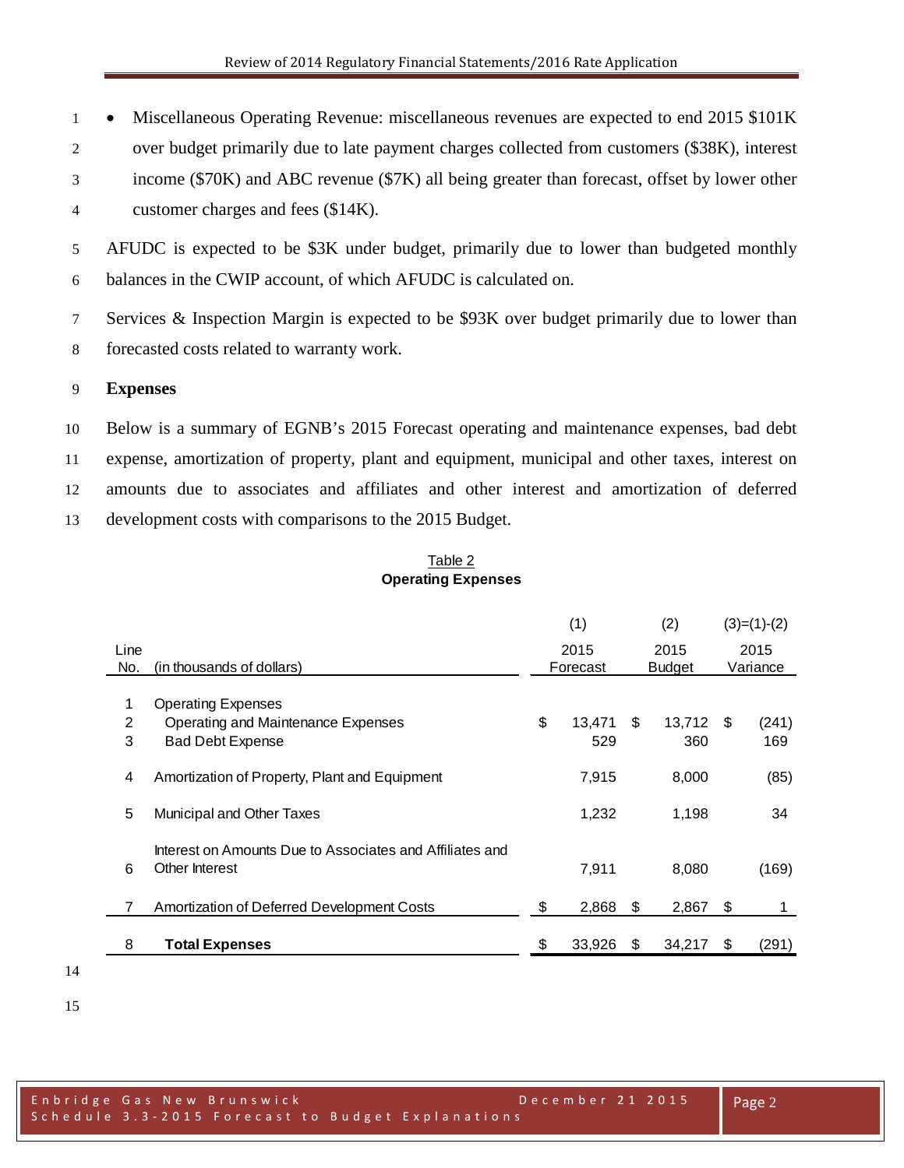• Miscellaneous Operating Revenue: miscellaneous revenues are expected to end 2015 \$101K over budget primarily due to late payment charges collected from customers (\$38K), interest income (\$70K) and ABC revenue (\$7K) all being greater than forecast, offset by lower other customer charges and fees (\$14K).

 AFUDC is expected to be \$3K under budget, primarily due to lower than budgeted monthly balances in the CWIP account, of which AFUDC is calculated on.

 Services & Inspection Margin is expected to be \$93K over budget primarily due to lower than forecasted costs related to warranty work.

## **Expenses**

 Below is a summary of EGNB's 2015 Forecast operating and maintenance expenses, bad debt expense, amortization of property, plant and equipment, municipal and other taxes, interest on amounts due to associates and affiliates and other interest and amortization of deferred development costs with comparisons to the 2015 Budget.

| Table 2                   |  |
|---------------------------|--|
| <b>Operating Expenses</b> |  |

|                |                                                          | (1) |          | (2)           |             |    | $(3)=(1)-(2)$ |
|----------------|----------------------------------------------------------|-----|----------|---------------|-------------|----|---------------|
| Line           |                                                          |     | 2015     | 2015          |             |    | 2015          |
| No.            | (in thousands of dollars)                                |     | Forecast | <b>Budget</b> |             |    | Variance      |
| 1              |                                                          |     |          |               |             |    |               |
|                | <b>Operating Expenses</b>                                |     |          |               |             |    |               |
| $\overline{2}$ | Operating and Maintenance Expenses                       | \$  | 13,471   | \$            | $13,712$ \$ |    | (241)         |
| 3              | <b>Bad Debt Expense</b>                                  |     | 529      |               | 360         |    | 169           |
|                |                                                          |     |          |               |             |    |               |
| 4              | Amortization of Property, Plant and Equipment            |     | 7,915    |               | 8,000       |    | (85)          |
|                |                                                          |     |          |               |             |    |               |
| 5              | Municipal and Other Taxes                                |     | 1,232    |               | 1,198       |    | 34            |
|                |                                                          |     |          |               |             |    |               |
|                | Interest on Amounts Due to Associates and Affiliates and |     |          |               |             |    |               |
|                |                                                          |     |          |               |             |    |               |
| 6              | Other Interest                                           |     | 7.911    |               | 8,080       |    | (169)         |
|                |                                                          |     |          |               |             |    |               |
|                | Amortization of Deferred Development Costs               | \$  | 2,868    | \$            | 2,867       | \$ |               |
|                |                                                          |     |          |               |             |    |               |
| 8              | <b>Total Expenses</b>                                    | \$  | 33,926   | S             | 34,217      | S  | (291)         |
|                |                                                          |     |          |               |             |    |               |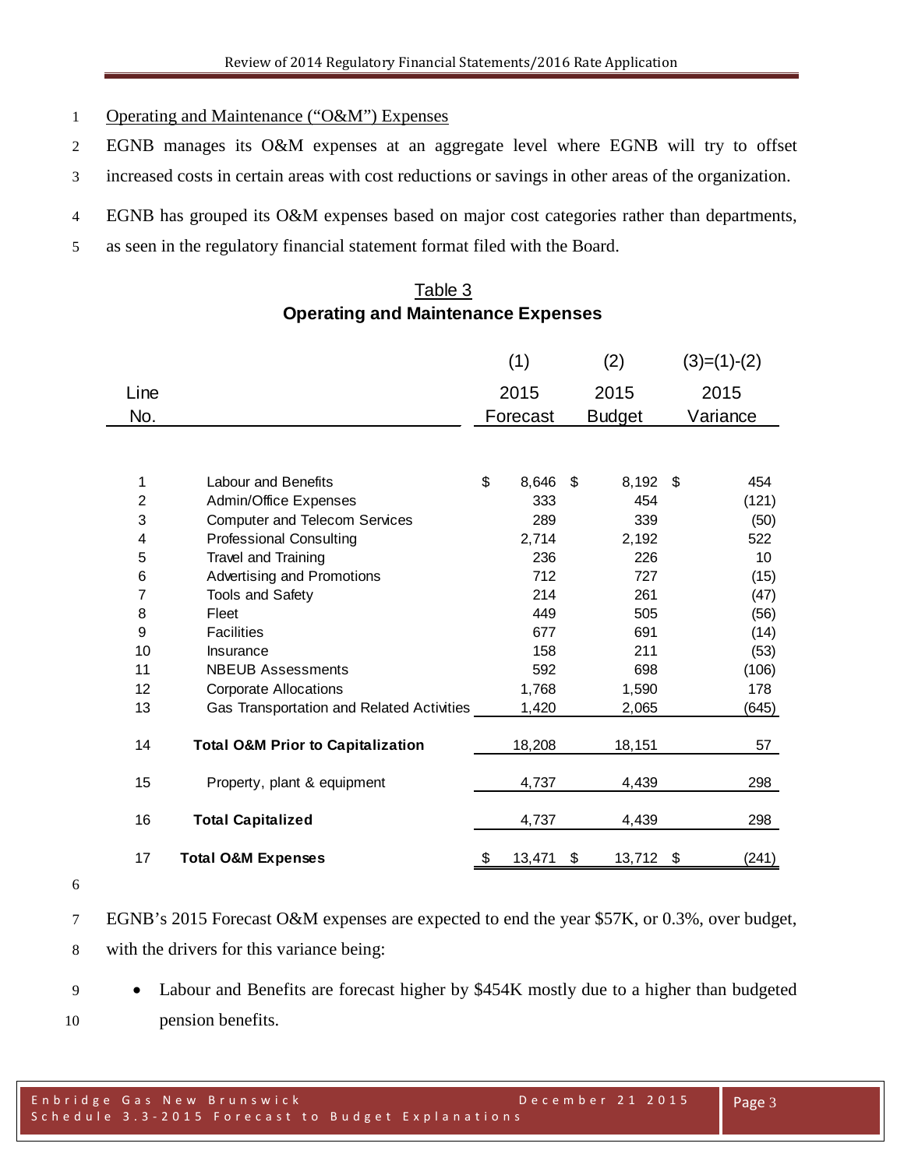- Operating and Maintenance ("O&M") Expenses
- EGNB manages its O&M expenses at an aggregate level where EGNB will try to offset
- increased costs in certain areas with cost reductions or savings in other areas of the organization.
- EGNB has grouped its O&M expenses based on major cost categories rather than departments,
- as seen in the regulatory financial statement format filed with the Board.

## Table 3 **Operating and Maintenance Expenses**

|                |                                              | (1)          | (2)           | $(3)=(1)-(2)$ |
|----------------|----------------------------------------------|--------------|---------------|---------------|
| Line           |                                              | 2015         | 2015          | 2015          |
| No.            |                                              | Forecast     | <b>Budget</b> | Variance      |
|                |                                              |              |               |               |
| 1              | <b>Labour and Benefits</b>                   | \$<br>8,646  | \$<br>8,192   | \$<br>454     |
| $\overline{c}$ | Admin/Office Expenses                        | 333          | 454           | (121)         |
| 3              | <b>Computer and Telecom Services</b>         | 289          | 339           | (50)          |
| 4              | <b>Professional Consulting</b>               | 2,714        | 2,192         | 522           |
| 5              | Travel and Training                          | 236          | 226           | 10            |
| 6              | Advertising and Promotions                   | 712          | 727           | (15)          |
| 7              | Tools and Safety                             | 214          | 261           | (47)          |
| 8              | Fleet                                        | 449          | 505           | (56)          |
| 9              | <b>Facilities</b>                            | 677          | 691           | (14)          |
| 10             | Insurance                                    | 158          | 211           | (53)          |
| 11             | <b>NBEUB Assessments</b>                     | 592          | 698           | (106)         |
| 12             | <b>Corporate Allocations</b>                 | 1,768        | 1,590         | 178           |
| 13             | Gas Transportation and Related Activities    | 1,420        | 2,065         | (645)         |
| 14             | <b>Total O&amp;M Prior to Capitalization</b> | 18,208       | 18,151        | 57            |
| 15             | Property, plant & equipment                  | 4,737        | 4,439         | 298           |
| 16             | <b>Total Capitalized</b>                     | 4,737        | 4,439         | 298           |
| 17             | <b>Total O&amp;M Expenses</b>                | \$<br>13,471 | \$<br>13,712  | \$<br>(241)   |

- 
- EGNB's 2015 Forecast O&M expenses are expected to end the year \$57K, or 0.3%, over budget, with the drivers for this variance being:
- Labour and Benefits are forecast higher by \$454K mostly due to a higher than budgeted pension benefits.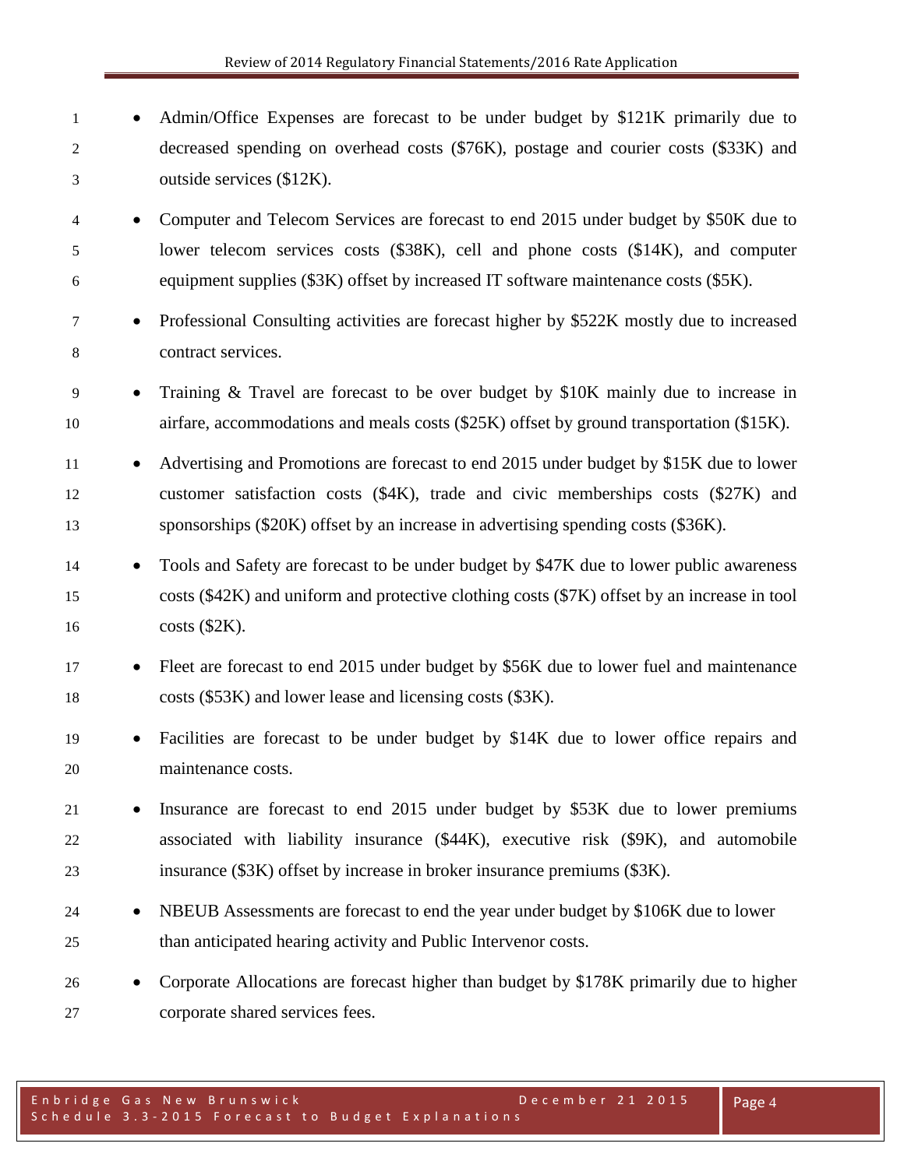1 • Admin/Office Expenses are forecast to be under budget by \$121K primarily due to decreased spending on overhead costs (\$76K), postage and courier costs (\$33K) and outside services (\$12K). • Computer and Telecom Services are forecast to end 2015 under budget by \$50K due to lower telecom services costs (\$38K), cell and phone costs (\$14K), and computer equipment supplies (\$3K) offset by increased IT software maintenance costs (\$5K). • Professional Consulting activities are forecast higher by \$522K mostly due to increased contract services. • Training & Travel are forecast to be over budget by \$10K mainly due to increase in airfare, accommodations and meals costs (\$25K) offset by ground transportation (\$15K). • Advertising and Promotions are forecast to end 2015 under budget by \$15K due to lower customer satisfaction costs (\$4K), trade and civic memberships costs (\$27K) and sponsorships (\$20K) offset by an increase in advertising spending costs (\$36K). • Tools and Safety are forecast to be under budget by \$47K due to lower public awareness costs (\$42K) and uniform and protective clothing costs (\$7K) offset by an increase in tool costs (\$2K). • Fleet are forecast to end 2015 under budget by \$56K due to lower fuel and maintenance costs (\$53K) and lower lease and licensing costs (\$3K). • Facilities are forecast to be under budget by \$14K due to lower office repairs and maintenance costs. • Insurance are forecast to end 2015 under budget by \$53K due to lower premiums associated with liability insurance (\$44K), executive risk (\$9K), and automobile insurance (\$3K) offset by increase in broker insurance premiums (\$3K). 24 • NBEUB Assessments are forecast to end the year under budget by \$106K due to lower than anticipated hearing activity and Public Intervenor costs. • Corporate Allocations are forecast higher than budget by \$178K primarily due to higher corporate shared services fees.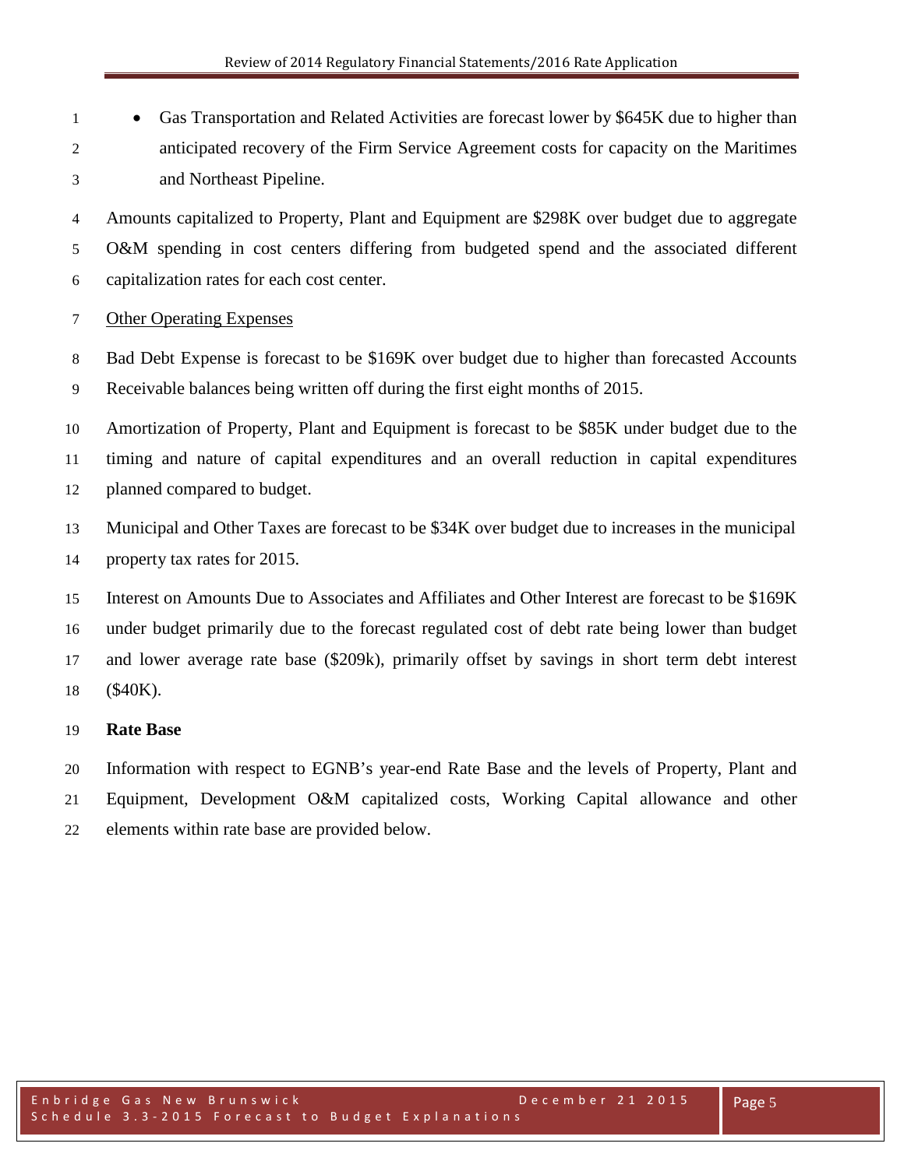• Gas Transportation and Related Activities are forecast lower by \$645K due to higher than anticipated recovery of the Firm Service Agreement costs for capacity on the Maritimes and Northeast Pipeline.

 Amounts capitalized to Property, Plant and Equipment are \$298K over budget due to aggregate O&M spending in cost centers differing from budgeted spend and the associated different capitalization rates for each cost center.

## Other Operating Expenses

 Bad Debt Expense is forecast to be \$169K over budget due to higher than forecasted Accounts Receivable balances being written off during the first eight months of 2015.

 Amortization of Property, Plant and Equipment is forecast to be \$85K under budget due to the timing and nature of capital expenditures and an overall reduction in capital expenditures planned compared to budget.

 Municipal and Other Taxes are forecast to be \$34K over budget due to increases in the municipal property tax rates for 2015.

 Interest on Amounts Due to Associates and Affiliates and Other Interest are forecast to be \$169K under budget primarily due to the forecast regulated cost of debt rate being lower than budget and lower average rate base (\$209k), primarily offset by savings in short term debt interest (\$40K).

## **Rate Base**

Information with respect to EGNB's year-end Rate Base and the levels of Property, Plant and

Equipment, Development O&M capitalized costs, Working Capital allowance and other

elements within rate base are provided below.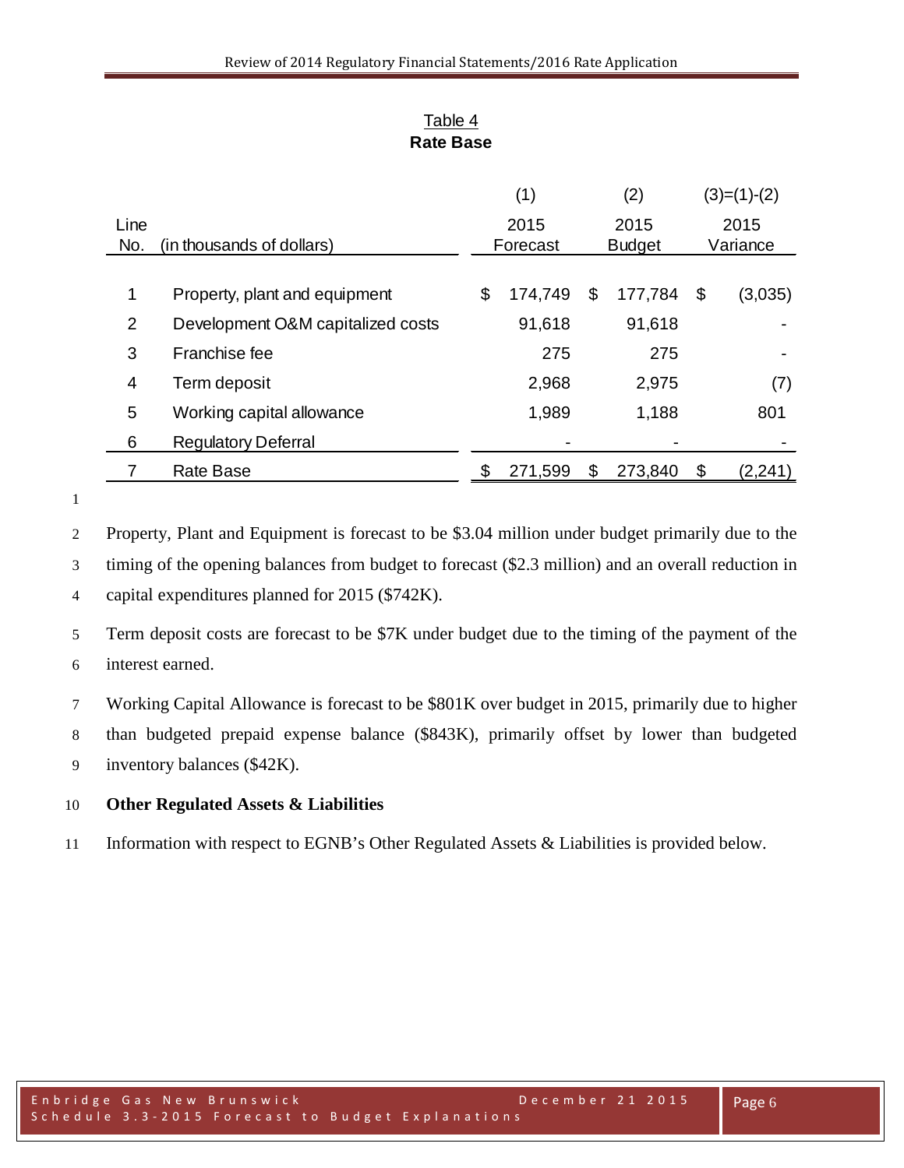| Table 4   |
|-----------|
| Rate Base |

|      |                                   | (1)           | (2)           | $(3)=(1)-(2)$ |
|------|-----------------------------------|---------------|---------------|---------------|
| Line |                                   | 2015          | 2015          | 2015          |
| No.  | (in thousands of dollars)         | Forecast      | <b>Budget</b> | Variance      |
|      |                                   |               |               |               |
| 1    | Property, plant and equipment     | \$<br>174,749 | \$<br>177,784 | \$<br>(3,035) |
| 2    | Development O&M capitalized costs | 91,618        | 91,618        |               |
| 3    | Franchise fee                     | 275           | 275           |               |
| 4    | Term deposit                      | 2,968         | 2,975         | (7)           |
| 5    | Working capital allowance         | 1,989         | 1,188         | 801           |
| 6    | <b>Regulatory Deferral</b>        |               |               |               |
|      | <b>Rate Base</b>                  | 271,599       | \$<br>273,840 | \$<br>(2,241) |

Property, Plant and Equipment is forecast to be \$3.04 million under budget primarily due to the

 timing of the opening balances from budget to forecast (\$2.3 million) and an overall reduction in capital expenditures planned for 2015 (\$742K).

 Term deposit costs are forecast to be \$7K under budget due to the timing of the payment of the interest earned.

Working Capital Allowance is forecast to be \$801K over budget in 2015, primarily due to higher

than budgeted prepaid expense balance (\$843K), primarily offset by lower than budgeted

inventory balances (\$42K).

## **Other Regulated Assets & Liabilities**

Information with respect to EGNB's Other Regulated Assets & Liabilities is provided below.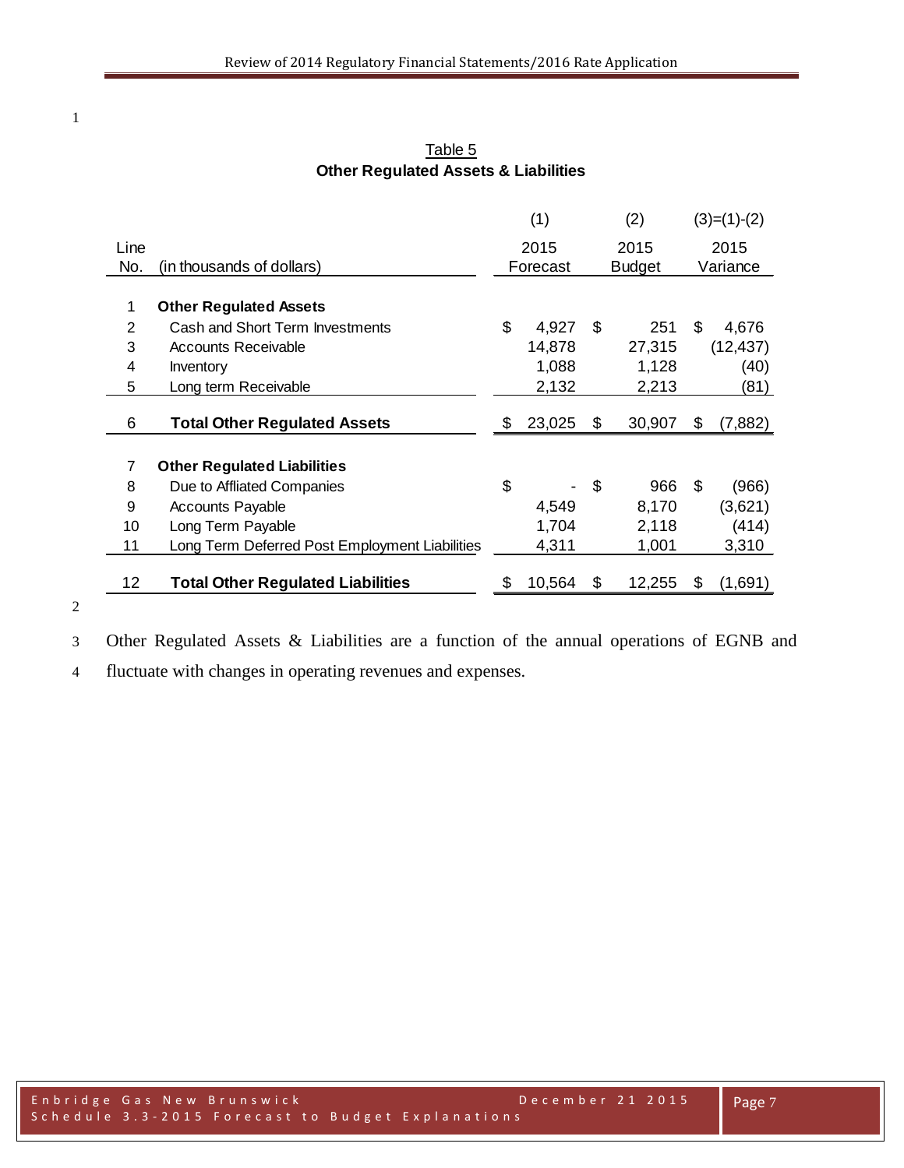|                 |                                                | (1)          |    | (2)           | $(3)=(1)-(2)$ |
|-----------------|------------------------------------------------|--------------|----|---------------|---------------|
| Line            |                                                | 2015         |    | 2015          | 2015          |
| No.             | (in thousands of dollars)                      | Forecast     |    | <b>Budget</b> | Variance      |
|                 |                                                |              |    |               |               |
| 1               | <b>Other Regulated Assets</b>                  |              |    |               |               |
| 2               | Cash and Short Term Investments                | \$<br>4,927  | \$ | 251           | \$<br>4,676   |
| 3               | <b>Accounts Receivable</b>                     | 14,878       |    | 27,315        | (12, 437)     |
| 4               | Inventory                                      | 1,088        |    | 1,128         | (40)          |
| 5               | Long term Receivable                           | 2,132        |    | 2,213         | (81)          |
| 6               | <b>Total Other Regulated Assets</b>            | \$<br>23,025 | S  | 30,907        | \$<br>(7,882) |
|                 |                                                |              |    |               |               |
| $\overline{7}$  | <b>Other Regulated Liabilities</b>             |              |    |               |               |
| 8               | Due to Affliated Companies                     | \$           | \$ | 966           | \$<br>(966)   |
| 9               | <b>Accounts Payable</b>                        | 4,549        |    | 8,170         | (3,621)       |
| 10              | Long Term Payable                              | 1,704        |    | 2,118         | (414)         |
| 11              | Long Term Deferred Post Employment Liabilities | 4,311        |    | 1,001         | 3,310         |
| 12 <sub>2</sub> | <b>Total Other Regulated Liabilities</b>       | \$<br>10,564 | S  | 12,255        | \$<br>(1,691) |
|                 |                                                |              |    |               |               |

Table 5 **Other Regulated Assets & Liabilities**

Other Regulated Assets & Liabilities are a function of the annual operations of EGNB and

fluctuate with changes in operating revenues and expenses.